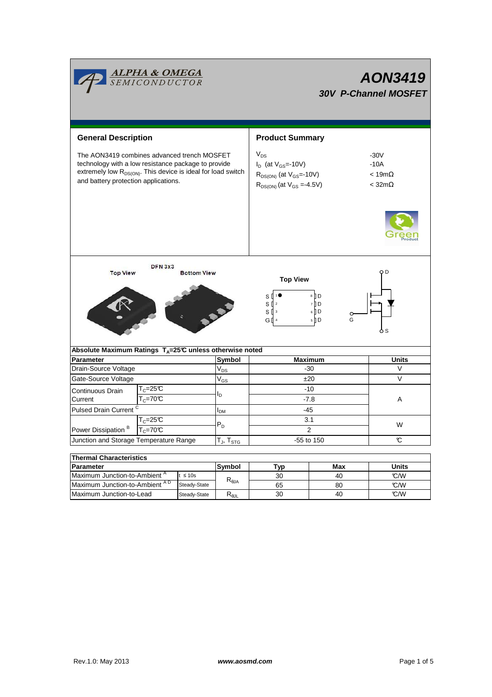|                                                                                                                                                                                                                        | <b>ALPHA &amp; OMEGA</b><br>SEMICONDUCTOR  |              |                                    | AON3419<br><b>30V P-Channel MOSFET</b>                                                                          |                                                       |      |  |  |  |  |  |
|------------------------------------------------------------------------------------------------------------------------------------------------------------------------------------------------------------------------|--------------------------------------------|--------------|------------------------------------|-----------------------------------------------------------------------------------------------------------------|-------------------------------------------------------|------|--|--|--|--|--|
|                                                                                                                                                                                                                        |                                            |              |                                    |                                                                                                                 |                                                       |      |  |  |  |  |  |
| <b>General Description</b>                                                                                                                                                                                             |                                            |              |                                    | <b>Product Summary</b>                                                                                          |                                                       |      |  |  |  |  |  |
| The AON3419 combines advanced trench MOSFET<br>technology with a low resistance package to provide<br>extremely low R <sub>DS(ON)</sub> . This device is ideal for load switch<br>and battery protection applications. |                                            |              |                                    | $V_{DS}$<br>$I_D$ (at $V_{GS}$ =-10V)<br>$R_{DS(ON)}$ (at $V_{GS}$ =-10V)<br>$R_{DS(ON)}$ (at $V_{GS} = 4.5V$ ) | $-30V$<br>$-10A$<br>$< 19m\Omega$<br>$<$ 32m $\Omega$ |      |  |  |  |  |  |
| DFN 3x3<br><b>Top View</b><br>O D<br><b>Bottom View</b><br><b>Top View</b><br>8 D<br>S<br>7 I D<br>$S^{2}$<br>$6$ D<br>$S^{[3]}$<br>$5$ D<br>G<br>$G \parallel 4$<br>S                                                 |                                            |              |                                    |                                                                                                                 |                                                       |      |  |  |  |  |  |
| Absolute Maximum Ratings T <sub>A</sub> =25℃ unless otherwise noted                                                                                                                                                    |                                            |              |                                    |                                                                                                                 |                                                       |      |  |  |  |  |  |
| <b>Parameter</b>                                                                                                                                                                                                       |                                            |              | Symbol                             | <b>Maximum</b>                                                                                                  | Units                                                 |      |  |  |  |  |  |
| Drain-Source Voltage                                                                                                                                                                                                   |                                            |              | $\mathsf{V}_{\mathsf{DS}}$         | $-30$                                                                                                           | V                                                     |      |  |  |  |  |  |
| Gate-Source Voltage                                                                                                                                                                                                    |                                            |              | $V_{GS}$                           | ±20                                                                                                             | V                                                     |      |  |  |  |  |  |
| Continuous Drain                                                                                                                                                                                                       | $T_c = 25C$                                |              | l <sub>D.</sub>                    | $-10$                                                                                                           |                                                       |      |  |  |  |  |  |
| Current                                                                                                                                                                                                                | $T_c = 70C$                                |              |                                    | $-7.8$                                                                                                          |                                                       | A    |  |  |  |  |  |
| Pulsed Drain Current <sup>C</sup>                                                                                                                                                                                      |                                            |              | I <sub>DM</sub>                    |                                                                                                                 | -45                                                   |      |  |  |  |  |  |
|                                                                                                                                                                                                                        | $\mathsf{T}_{\mathbb{C}}$ =25 $\mathbb{C}$ |              | $P_D$                              | 3.1                                                                                                             |                                                       | W    |  |  |  |  |  |
| R<br>Power Dissipation<br>$T_c = 70$ °C                                                                                                                                                                                |                                            |              | 2                                  |                                                                                                                 |                                                       |      |  |  |  |  |  |
| Junction and Storage Temperature Range                                                                                                                                                                                 |                                            |              | $T_J$ , $T_{STG}$                  | $\mathcal{C}$<br>-55 to 150                                                                                     |                                                       |      |  |  |  |  |  |
|                                                                                                                                                                                                                        |                                            |              |                                    |                                                                                                                 |                                                       |      |  |  |  |  |  |
| <b>Thermal Characteristics</b>                                                                                                                                                                                         |                                            |              |                                    |                                                                                                                 |                                                       |      |  |  |  |  |  |
| Parameter                                                                                                                                                                                                              |                                            | Symbol       | <b>Typ</b>                         | Max                                                                                                             | <b>Units</b>                                          |      |  |  |  |  |  |
| Maximum Junction-to-Ambient <sup>A</sup><br>$t \leq 10s$<br>Maximum Junction-to-Ambient AD                                                                                                                             |                                            |              | $R_{\theta JA}$                    | 30                                                                                                              | 40                                                    | C/W  |  |  |  |  |  |
|                                                                                                                                                                                                                        |                                            | Steady-State |                                    | 65                                                                                                              | 80                                                    | °C/W |  |  |  |  |  |
| Maximum Junction-to-Lead                                                                                                                                                                                               |                                            | Steady-State | $R_{\theta \underline{\text{JL}}}$ | 30                                                                                                              | 40                                                    | C/W  |  |  |  |  |  |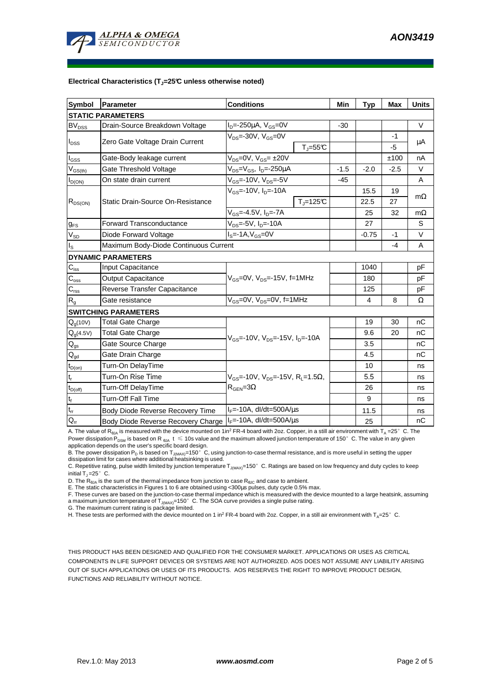

#### **Electrical Characteristics (TJ=25°C unless otherwise noted)**

| Symbol                                     | Parameter                                | <b>Conditions</b>                                                                                          |                                  | Min    | <b>Typ</b> | <b>Max</b> | <b>Units</b> |  |  |  |  |  |
|--------------------------------------------|------------------------------------------|------------------------------------------------------------------------------------------------------------|----------------------------------|--------|------------|------------|--------------|--|--|--|--|--|
| <b>STATIC PARAMETERS</b>                   |                                          |                                                                                                            |                                  |        |            |            |              |  |  |  |  |  |
| <b>BV</b> <sub>DSS</sub>                   | Drain-Source Breakdown Voltage           | $I_{D} = -250 \mu A$ , $V_{GS} = 0V$                                                                       |                                  | $-30$  |            |            | $\vee$       |  |  |  |  |  |
| $I_{DSS}$                                  |                                          | $V_{DS}$ =-30V, $V_{GS}$ =0V                                                                               |                                  |        |            | -1         |              |  |  |  |  |  |
|                                            | Zero Gate Voltage Drain Current          |                                                                                                            | $T_{\rm J}$ =55 $C$              |        |            | -5         | μA           |  |  |  |  |  |
| I <sub>GSS</sub>                           | Gate-Body leakage current                | $V_{DS}$ =0V, $V_{GS}$ = $\pm$ 20V                                                                         |                                  |        |            | ±100       | nA           |  |  |  |  |  |
| $\mathsf{V}_{\mathsf{GS}(\underline{th})}$ | Gate Threshold Voltage                   | $V_{DS} = V_{GS}$ , $I_{D} = -250 \mu A$                                                                   | $-1.5$                           | $-2.0$ | $-2.5$     | $\vee$     |              |  |  |  |  |  |
| $I_{D(ON)}$                                | On state drain current                   | $V_{GS}$ =-10V, $V_{DS}$ =-5V                                                                              |                                  | $-45$  |            |            | A            |  |  |  |  |  |
| $R_{DS(ON)}$                               |                                          | V <sub>GS</sub> =-10V, I <sub>D</sub> =-10A                                                                |                                  |        | 15.5       | 19         | $m\Omega$    |  |  |  |  |  |
|                                            | <b>Static Drain-Source On-Resistance</b> |                                                                                                            | $T_{\parallel} = 125$ °C         |        | 22.5       | 27         |              |  |  |  |  |  |
|                                            |                                          | $V_{GS} = -4.5V, I_D = -7A$                                                                                |                                  |        | 25         | 32         | $m\Omega$    |  |  |  |  |  |
| $g_{FS}$                                   | <b>Forward Transconductance</b>          | $V_{DS}$ =-5V, I <sub>D</sub> =-10A                                                                        |                                  |        | 27         |            | S            |  |  |  |  |  |
| $V_{SD}$                                   | Diode Forward Voltage                    | $IS=-1A, VGS=0V$                                                                                           |                                  |        | $-0.75$    | $-1$       | $\vee$       |  |  |  |  |  |
| ıs.                                        | Maximum Body-Diode Continuous Current    |                                                                                                            |                                  |        |            | $-4$       | A            |  |  |  |  |  |
|                                            | <b>DYNAMIC PARAMETERS</b>                |                                                                                                            |                                  |        |            |            |              |  |  |  |  |  |
| $C_{iss}$                                  | Input Capacitance                        | $V_{GS}$ =0V, $V_{DS}$ =-15V, f=1MHz                                                                       |                                  |        | 1040       |            | pF           |  |  |  |  |  |
| $C_{\rm oss}$                              | Output Capacitance                       |                                                                                                            |                                  |        | 180        |            | pF           |  |  |  |  |  |
| $\mathsf{C}_{\text{rss}}$                  | Reverse Transfer Capacitance             |                                                                                                            |                                  |        | 125        |            | pF           |  |  |  |  |  |
| $R_{q}$                                    | Gate resistance                          | $V_{GS}$ =0V, $V_{DS}$ =0V, f=1MHz                                                                         |                                  |        | 4          | 8          | Ω            |  |  |  |  |  |
|                                            | <b>SWITCHING PARAMETERS</b>              |                                                                                                            |                                  |        |            |            |              |  |  |  |  |  |
| $Q_q(10V)$                                 | <b>Total Gate Charge</b>                 | $V_{GS}$ =-10V, $V_{DS}$ =-15V, $I_{D}$ =-10A                                                              |                                  |        | 19         | 30         | nC           |  |  |  |  |  |
| $Q_g(4.5V)$                                | <b>Total Gate Charge</b>                 |                                                                                                            |                                  |        | 9.6        | 20         | nC           |  |  |  |  |  |
| $Q_{gs}$                                   | Gate Source Charge                       |                                                                                                            |                                  |        | 3.5        |            | пC           |  |  |  |  |  |
| $\mathsf{Q}_{\text{gd}}$                   | Gate Drain Charge                        |                                                                                                            |                                  |        | 4.5        |            | nC           |  |  |  |  |  |
| $t_{D(on)}$                                | Turn-On DelayTime                        | $V_{\text{GS}}$ =-10V, $V_{\text{DS}}$ =-15V, R <sub>1</sub> =1.5 $\Omega$ ,<br>$R_{\text{GEN}} = 3\Omega$ |                                  |        | 10         |            | ns           |  |  |  |  |  |
| $t_r$                                      | Turn-On Rise Time                        |                                                                                                            |                                  |        | 5.5        |            | ns           |  |  |  |  |  |
| $t_{D(off)}$                               | <b>Turn-Off DelayTime</b>                |                                                                                                            |                                  |        | 26         |            | ns           |  |  |  |  |  |
| $t_f$                                      | <b>Turn-Off Fall Time</b>                |                                                                                                            |                                  | 9      |            | ns         |              |  |  |  |  |  |
| $t_{rr}$                                   | Body Diode Reverse Recovery Time         | $I_F$ =-10A, dl/dt=500A/ $\mu$ s                                                                           |                                  |        | 11.5       |            | ns           |  |  |  |  |  |
| $Q_{rr}$                                   | Body Diode Reverse Recovery Charge       |                                                                                                            | $I_F$ =-10A, dl/dt=500A/ $\mu$ s |        | 25         |            | nC           |  |  |  |  |  |

A. The value of R<sub>θJA</sub> is measured with the device mounted on 1in<sup>2</sup> FR-4 board with 2oz. Copper, in a still air environment with T<sub>A</sub> =25°C. The Power dissipation P<sub>DSM</sub> is based on R<sub>6JA</sub> t  $\leq$  10s value and the maximum allowed junction temperature of 150°C. The value in any given application depends on the user's specific board design.

B. The power dissipation P<sub>D</sub> is based on T<sub>J(MAX)</sub>=150°C, using junction-to-case thermal resistance, and is more useful in setting the upper dissipation limit for cases where additional heatsinking is used.

C. Repetitive rating, pulse width limited by junction temperature  $T_{J(MAX)}$ =150°C. Ratings are based on low frequency and duty cycles to keep initial  $T_J = 25^\circ$  C.

D. The  $R_{\thetaJA}$  is the sum of the thermal impedance from junction to case  $R_{\thetaJC}$  and case to ambient.

E. The static characteristics in Figures 1 to 6 are obtained using <300us pulses, duty cycle 0.5% max.

F. These curves are based on the junction-to-case thermal impedance which is measured with the device mounted to a large heatsink, assuming a maximum junction temperature of  $T_{J(MAX)}$ =150° C. The SOA curve provides a single pulse rating.

G. The maximum current rating is package limited.

H. These tests are performed with the device mounted on 1 in<sup>2</sup> FR-4 board with 2oz. Copper, in a still air environment with T<sub>A</sub>=25°C.

THIS PRODUCT HAS BEEN DESIGNED AND QUALIFIED FOR THE CONSUMER MARKET. APPLICATIONS OR USES AS CRITICAL COMPONENTS IN LIFE SUPPORT DEVICES OR SYSTEMS ARE NOT AUTHORIZED. AOS DOES NOT ASSUME ANY LIABILITY ARISING OUT OF SUCH APPLICATIONS OR USES OF ITS PRODUCTS. AOS RESERVES THE RIGHT TO IMPROVE PRODUCT DESIGN, FUNCTIONS AND RELIABILITY WITHOUT NOTICE.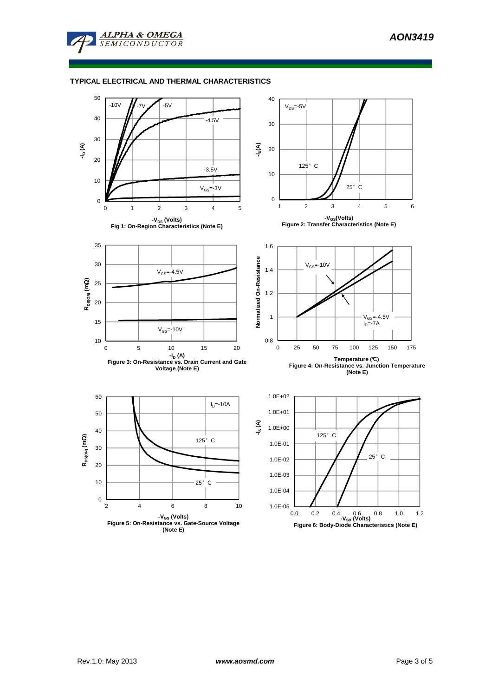

## **TYPICAL ELECTRICAL AND THERMAL CHARACTERISTICS**

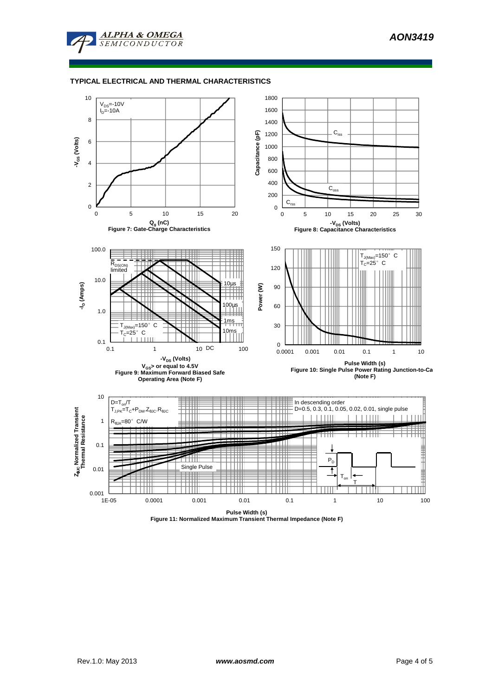

**AON3419** 



### **TYPICAL ELECTRICAL AND THERMAL CHARACTERISTICS**